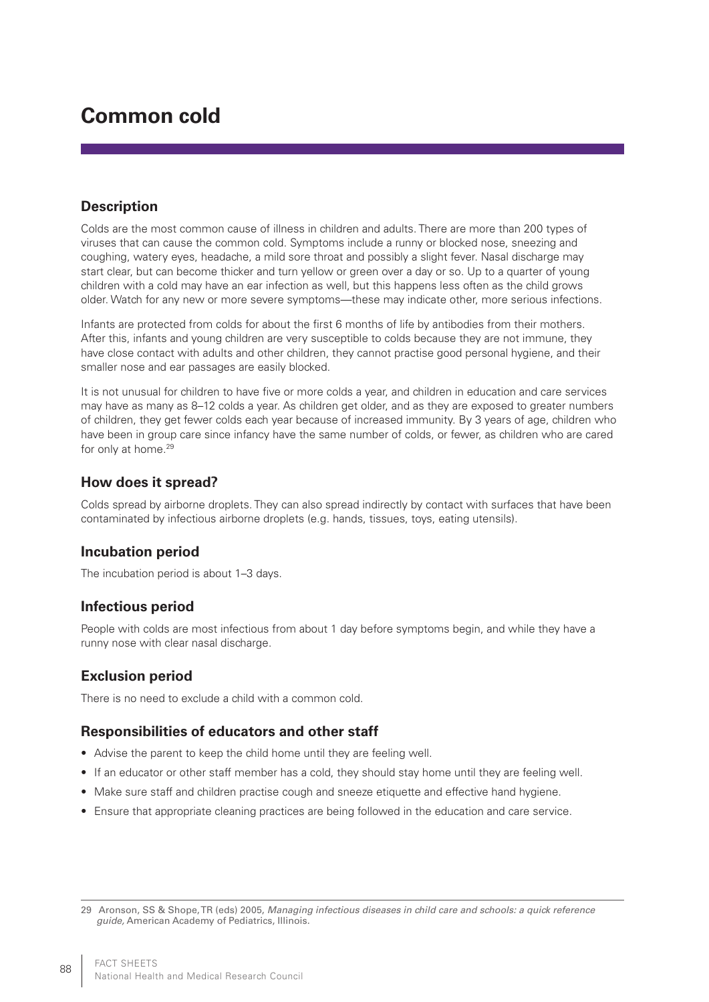# **Common cold**

# **Description**

Colds are the most common cause of illness in children and adults. There are more than 200 types of viruses that can cause the common cold. Symptoms include a runny or blocked nose, sneezing and coughing, watery eyes, headache, a mild sore throat and possibly a slight fever. Nasal discharge may start clear, but can become thicker and turn yellow or green over a day or so. Up to a quarter of young children with a cold may have an ear infection as well, but this happens less often as the child grows older. Watch for any new or more severe symptoms—these may indicate other, more serious infections.

Infants are protected from colds for about the first 6 months of life by antibodies from their mothers. After this, infants and young children are very susceptible to colds because they are not immune, they have close contact with adults and other children, they cannot practise good personal hygiene, and their smaller nose and ear passages are easily blocked.

It is not unusual for children to have five or more colds a year, and children in education and care services may have as many as 8–12 colds a year. As children get older, and as they are exposed to greater numbers of children, they get fewer colds each year because of increased immunity. By 3 years of age, children who have been in group care since infancy have the same number of colds, or fewer, as children who are cared for only at home.<sup>29</sup>

#### **How does it spread?**

Colds spread by airborne droplets. They can also spread indirectly by contact with surfaces that have been contaminated by infectious airborne droplets (e.g. hands, tissues, toys, eating utensils).

#### **Incubation period**

The incubation period is about 1–3 days.

#### **Infectious period**

People with colds are most infectious from about 1 day before symptoms begin, and while they have a runny nose with clear nasal discharge.

#### **Exclusion period**

There is no need to exclude a child with a common cold.

#### **Responsibilities of educators and other staff**

- Advise the parent to keep the child home until they are feeling well.
- If an educator or other staff member has a cold, they should stay home until they are feeling well.
- Make sure staff and children practise cough and sneeze etiquette and effective hand hygiene.
- • Ensure that appropriate cleaning practices are being followed in the education and care service.

<sup>29</sup> Aronson, SS & Shope, TR (eds) 2005, *Managing infectious diseases in child care and schools: a quick reference guide,* American Academy of Pediatrics, Illinois.